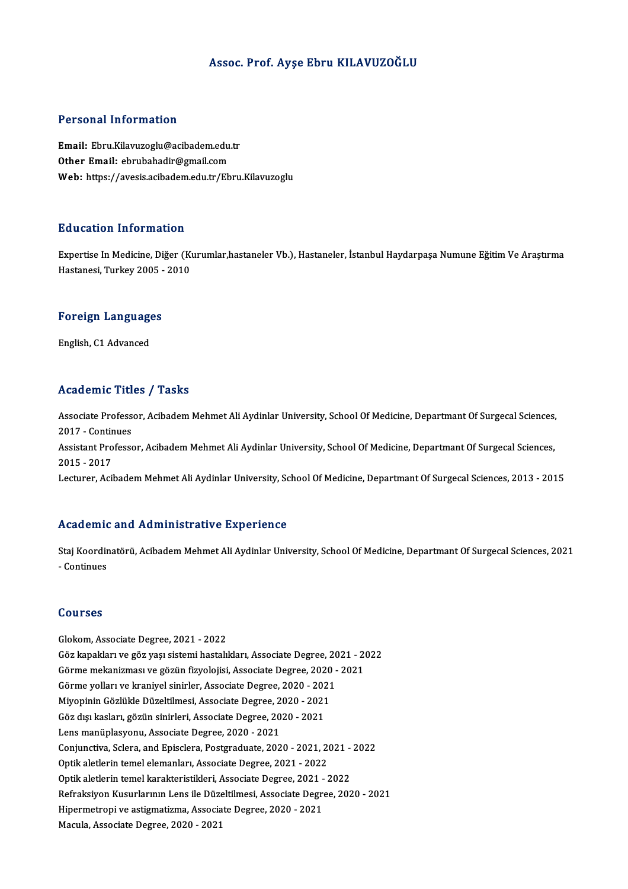#### Assoc. Prof. Ayşe Ebru KILAVUZOĞLU

#### Personal Information

Personal Information<br>Email: Ebru.Kilavuzoglu@acibadem.edu.tr<br>Other Email: ebrubabadir@amail.com r orbonar missimation<br>Email: Ebru.Kilavuzoglu@acibadem.edu.<br>Other Email: ebrubahadir@gmail.com<br>Web: https://avesis.esibadem.edu.tr/Eb Other Email: ebrubahadir@gmail.com<br>Web: https://avesis.acibadem.edu.tr/Ebru.Kilavuzoglu

#### Education Information

E**ducation Information**<br>Expertise In Medicine, Diğer (Kurumlar,hastaneler Vb.), Hastaneler, İstanbul Haydarpaşa Numune Eğitim Ve Araştırma<br>Hastanesi Turkey 2005 - 2010 Hastanesi, Tirlor matron<br>Expertise In Medicine, Diğer (Kı<br>Hastanesi, Turkey 2005 - 2010

## nastanesi, Turkey 2005 -<br>Foreign Languages <mark>Foreign Languag</mark>e<br>English, C1 Advanced

## English, C1 Advanced<br>Academic Titles / Tasks

Academic Titles / Tasks<br>Associate Professor, Acibadem Mehmet Ali Aydinlar University, School Of Medicine, Departmant Of Surgecal Sciences,<br>2017 - Continues Associate Profess<br>2017 - Continues<br>Assistant Professe Associate Professor, Acibadem Mehmet Ali Aydinlar University, School Of Medicine, Departmant Of Surgecal Sciences,<br>2017 - Continues<br>Assistant Professor, Acibadem Mehmet Ali Aydinlar University, School Of Medicine, Departma 2017 - Continues<br>Assistant Professor, Acibadem Mehmet Ali Aydinlar University, School Of Medicine, Departmant Of Surgecal Sciences,<br>2015 - 2017 Lecturer, Acibadem Mehmet Ali Aydinlar University, School Of Medicine, Departmant Of Surgecal Sciences, 2013 - 2015

#### Academic and Administrative Experience

Academic and Administrative Experience<br>Staj Koordinatörü, Acibadem Mehmet Ali Aydinlar University, School Of Medicine, Departmant Of Surgecal Sciences, 2021<br>Continues -<br>Staj Koordir<br>- Continues - Continues<br>Courses

Glokom, Associate Degree, 2021 - 2022 Göürbes<br>Glokom, Associate Degree, 2021 - 2022<br>Göz kapakları ve göz yaşı sistemi hastalıkları, Associate Degree, 2021 - 2022<br>Görme mekanizması ve gözün fizyelejisi, Associate Degree, 2020, 2021 Glokom, Associate Degree, 2021 - 2022<br>Göz kapakları ve göz yaşı sistemi hastalıkları, Associate Degree, 2021 - 20<br>Görme mekanizması ve gözün fizyolojisi, Associate Degree, 2020 - 2021<br>Görme velları ve kranivel sinirler, As Göz kapakları ve göz yaşı sistemi hastalıkları, Associate Degree, 20<br>Görme mekanizması ve gözün fizyolojisi, Associate Degree, 2020 -<br>Görme yolları ve kraniyel sinirler, Associate Degree, 2020 - 2021<br>Miyoninin Gözlükle Düz Görme mekanizması ve gözün fizyolojisi, Associate Degree, 2020<br>Görme yolları ve kraniyel sinirler, Associate Degree, 2020 - 2021<br>Miyopinin Gözlükle Düzeltilmesi, Associate Degree, 2020 - 2021<br>Göz dev kosları, gözün sinirle Görme yolları ve kraniyel sinirler, Associate Degree, 2020 - 202<br>Miyopinin Gözlükle Düzeltilmesi, Associate Degree, 2020 - 2021<br>Göz dışı kasları, gözün sinirleri, Associate Degree, 2020 - 2021<br>Lans manüplesyonu, Associate Miyopinin Gözlükle Düzeltilmesi, Associate Degree, 2020 - 2021<br>Göz dışı kasları, gözün sinirleri, Associate Degree, 2020 - 2021<br>Lens manüplasyonu, Associate Degree, 2020 - 2021 Göz dışı kasları, gözün sinirleri, Associate Degree, 2020 - 2021<br>Lens manüplasyonu, Associate Degree, 2020 - 2021<br>Conjunctiva, Sclera, and Episclera, Postgraduate, 2020 - 2021, 2021 - 2022<br>Ontik aletlerin temel elemenleru, Lens manüplasyonu, Associate Degree, 2020 - 2021<br>Conjunctiva, Sclera, and Episclera, Postgraduate, 2020 - 2021, 20<br>Optik aletlerin temel elemanları, Associate Degree, 2021 - 2022<br>Optik aletlerin temel karakteristikleri, As Conjunctiva, Sclera, and Episclera, Postgraduate, 2020 - 2021, 2021 -<br>Optik aletlerin temel elemanları, Associate Degree, 2021 - 2022<br>Optik aletlerin temel karakteristikleri, Associate Degree, 2021 - 2022<br>Refreksiven Kusur Optik aletlerin temel elemanları, Associate Degree, 2021 - 2022<br>Optik aletlerin temel karakteristikleri, Associate Degree, 2021 - 2022<br>Refraksiyon Kusurlarının Lens ile Düzeltilmesi, Associate Degree, 2020 - 2021<br>Hipermetr Optik aletlerin temel karakteristikleri, Associate Degree, 2021 - 2022 Macula, Associate Degree, 2020 - 2021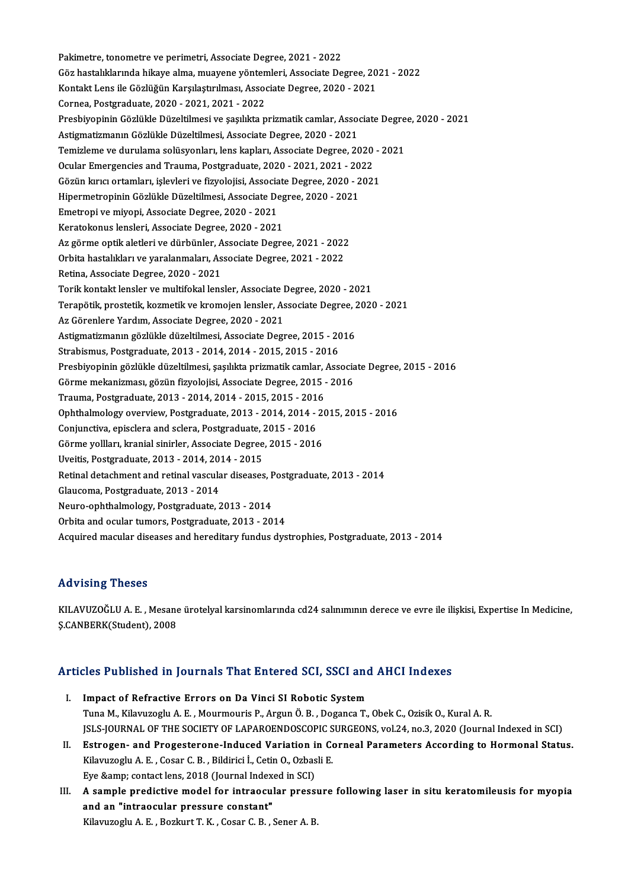Pakimetre, tonometre ve perimetri, Associate Degree, 2021 - 2022 Pakimetre, tonometre ve perimetri, Associate Degree, 2021 - 2022<br>Göz hastalıklarında hikaye alma, muayene yöntemleri, Associate Degree, 2021 - 2022<br>Kantakt Lans ile Gözlüğün Karsılastınılması, Associate Degree, 2020, 2021 Pakimetre, tonometre ve perimetri, Associate Degree, 2021 - 2022<br>Göz hastalıklarında hikaye alma, muayene yöntemleri, Associate Degree, 20<br>Kontakt Lens ile Gözlüğün Karşılaştırılması, Associate Degree, 2020 - 2021<br>Cernee, Göz hastalıklarında hikaye alma, muayene yönten<br>Kontakt Lens ile Gözlüğün Karşılaştırılması, Assoc<br>Cornea, Postgraduate, 2020 - 2021, 2021 - 2022<br>Preshiveninin Gözlülde Düzeltilmesi ve sasılılta p Kontakt Lens ile Gözlüğün Karşılaştırılması, Associate Degree, 2020 - 2021<br>Cornea, Postgraduate, 2020 - 2021, 2021 - 2022<br>Presbiyopinin Gözlükle Düzeltilmesi ve şaşılıkta prizmatik camlar, Associate Degree, 2020 - 2021<br>Ast Cornea, Postgraduate, 2020 - 2021, 2021 - 2022<br>Presbiyopinin Gözlükle Düzeltilmesi ve şaşılıkta prizmatik camlar, Assoc<br>Astigmatizmanın Gözlükle Düzeltilmesi, Associate Degree, 2020 - 2021<br>Temirlame ve durulama şelüşvenler Presbiyopinin Gözlükle Düzeltilmesi ve şaşılıkta prizmatik camlar, Associate Degre<br>Astigmatizmanın Gözlükle Düzeltilmesi, Associate Degree, 2020 - 2021<br>Temizleme ve durulama solüsyonları, lens kapları, Associate Degree, 20 Astigmatizmanın Gözlükle Düzeltilmesi, Associate Degree, 2020 - 2021<br>Temizleme ve durulama solüsyonları, lens kapları, Associate Degree, 2020 -<br>Ocular Emergencies and Trauma, Postgraduate, 2020 - 2021, 2021 - 2022<br>Gözün kı Temizleme ve durulama solüsyonları, lens kapları, Associate Degree, 2020 - 2021 Ocular Emergencies and Trauma, Postgraduate, 2020 - 2021, 2021 - 20<br>Gözün kırıcı ortamları, işlevleri ve fizyolojisi, Associate Degree, 2020 - 2<br>Hipermetropinin Gözlükle Düzeltilmesi, Associate Degree, 2020 - 2021<br>Emetropi Gözün kırıcı ortamları, işlevleri ve fizyolojisi, Associa<br>Hipermetropinin Gözlükle Düzeltilmesi, Associate De<br>Emetropi ve miyopi, Associate Degree, 2020 - 2021<br>Karatekonus lanslari, Associate Degree, 2020 - 2021 Hipermetropinin Gözlükle Düzeltilmesi, Associate Deg<br>Emetropi ve miyopi, Associate Degree, 2020 - 2021<br>Keratokonus lensleri, Associate Degree, 2020 - 2021<br>Az görme entik alatleri ve dürbünler, Associate Degre Emetropi ve miyopi, Associate Degree, 2020 - 2021<br>Keratokonus lensleri, Associate Degree, 2020 - 2021<br>Az görme optik aletleri ve dürbünler, Associate Degree, 2021 - 2022 Keratokonus lensleri, Associate Degree, 2020 - 2021<br>Az görme optik aletleri ve dürbünler, Associate Degree, 2021 - 2022<br>Orbita hastalıkları ve yaralanmaları, Associate Degree, 2021 - 2022<br>Petina, Associate Degree, 2020, 20 Az görme optik aletleri ve dürbünler, A<br>Orbita hastalıkları ve yaralanmaları, As<br>Retina, Associate Degree, 2020 - 2021<br>Terik kontakt langlar ve multifakal lang Orbita hastalıkları ve yaralanmaları, Associate Degree, 2021 - 2022<br>Retina, Associate Degree, 2020 - 2021<br>Torik kontakt lensler ve multifokal lensler, Associate Degree, 2020 - 2021<br>Terenötik, prestatik, kozmatik ve kromaja Retina, Associate Degree, 2020 - 2021<br>Torik kontakt lensler ve multifokal lensler, Associate Degree, 2020 - 2021<br>Terapötik, prostetik, kozmetik ve kromojen lensler, Associate Degree, 2020 - 2021<br>Az Görenlere Yerdun, Associ Torik kontakt lensler ve multifokal lensler, Associate I<br>Terapötik, prostetik, kozmetik ve kromojen lensler, As<br>Az Görenlere Yardım, Associate Degree, 2020 - 2021<br>Astismatismanın sözlükle dürekilmesi, Associate Degr Terapötik, prostetik, kozmetik ve kromojen lensler, Associate Degree, 2<br>Az Görenlere Yardım, Associate Degree, 2020 - 2021<br>Astigmatizmanın gözlükle düzeltilmesi, Associate Degree, 2015 - 2016<br>Strehismus, Bestanduste, 2012, Az Görenlere Yardım, Associate Degree, 2020 - 2021<br>Astigmatizmanın gözlükle düzeltilmesi, Associate Degree, 2015 - 20<br>Strabismus, Postgraduate, 2013 - 2014, 2014 - 2015, 2015 - 2016<br>Preshivaninin gözlükle düzeltilmesi, ses Astigmatizmanın gözlükle düzeltilmesi, Associate Degree, 2015 - 2016<br>Strabismus, Postgraduate, 2013 - 2014, 2014 - 2015, 2015 - 2016<br>Presbiyopinin gözlükle düzeltilmesi, şaşılıkta prizmatik camlar, Associate Degree, 2015 -Strabismus, Postgraduate, 2013 - 2014, 2014 - 2015, 2015 - 2016<br>Presbiyopinin gözlükle düzeltilmesi, şaşılıkta prizmatik camlar, Associa<br>Görme mekanizması, gözün fizyolojisi, Associate Degree, 2015 - 2016<br>Trauma, Postgradu Presbiyopinin gözlükle düzeltilmesi, şaşılıkta prizmatik camlar, ,<br>Görme mekanizması, gözün fizyolojisi, Associate Degree, 2015 -<br>Trauma, Postgraduate, 2013 - 2014, 2014 - 2015, 2015 - 2016<br>Ophthalmology overview, Postgrad Görme mekanizması, gözün fizyolojisi, Associate Degree, 2015 - 2016<br>Trauma, Postgraduate, 2013 - 2014, 2014 - 2015, 2015 - 2016<br>Ophthalmology overview, Postgraduate, 2013 - 2014, 2014 - 2015, 2015 - 2016<br>Conjunctive, opise Trauma, Postgraduate, 2013 - 2014, 2014 - 2015, 2015 - 2014<br>Ophthalmology overview, Postgraduate, 2013 - 2014, 2014 -<br>Conjunctiva, episclera and sclera, Postgraduate, 2015 - 2016<br>Cörme volllaru kranial sinirler, Associate Ophthalmology overview, Postgraduate, 2013 - 2014, 2014 - 2<br>Conjunctiva, episclera and sclera, Postgraduate, 2015 - 2016<br>Görme yollları, kranial sinirler, Associate Degree, 2015 - 2016<br>Uvejtis, Rostgraduate, 2012, 2014, 20 Conjunctiva, episclera and sclera, Postgraduate, 2015 - 2016<br>Görme yollları, kranial sinirler, Associate Degree, 2015 - 2016 Görme yollları, kranial sinirler, Associate Degree, 2015 - 2016<br>Uveitis, Postgraduate, 2013 - 2014, 2014 - 2015<br>Retinal detachment and retinal vascular diseases, Postgraduate, 2013 - 2014<br>Claucema, Restgraduate, 2013 - 201 Uveitis, Postgraduate, 2013 - 2014, 2014 - 2015<br>Retinal detachment and retinal vascular diseases, J<br>Glaucoma, Postgraduate, 2013 - 2014<br>Neuro-ophthalmology, Postgraduate, 2013 - 2014 Retinal detachment and retinal vascular diseases, F<br>Glaucoma, Postgraduate, 2013 - 2014<br>Neuro-ophthalmology, Postgraduate, 2013 - 2014<br>Orbita and equier tumors, Postgraduate, 2013 - 20 Orbita and ocular tumors, Postgraduate, 2013 - 2014 Acquired macular diseases and hereditary fundus dystrophies, Postgraduate, 2013 - 2014

### Advising Theses

Advising Theses<br>KILAVUZOĞLU A. E. , Mesane ürotelyal karsinomlarında cd24 salınımının derece ve evre ile ilişkisi, Expertise In Medicine,<br>S.CANRERK(Student), 2009 rta vierny<br>KILAVUZOĞLU A. E. , Mesane<br>Ş.CANBERK(Student), 2008

# <sub>S.CANBEKK(Swaent), 2008</sub><br>Articles Published in Journals That Entered SCI, SSCI and AHCI Indexes

- rticles Published in Journals That Entered SCI, SSCI and<br>I. Impact of Refractive Errors on Da Vinci SI Robotic System<br>Tune M. Kilowregh: A.E. Mourmouric B. Argun Ö.B., Degange T. Impact of Refractive Errors on Da Vinci SI Robotic System<br>Tuna M., Kilavuzoglu A. E. , Mourmouris P., Argun Ö. B. , Doganca T., Obek C., Ozisik O., Kural A. R. JSLS-JOURNALOF THESOCIETYOF LAPAROENDOSCOPICSURGEONS,vol.24,no.3,2020 (Journal Indexed inSCI) Tuna M., Kilavuzoglu A. E. , Mourmouris P., Argun Ö. B. , Doganca T., Obek C., Ozisik O., Kural A. R.<br>JSLS-JOURNAL OF THE SOCIETY OF LAPAROENDOSCOPIC SURGEONS, vol.24, no.3, 2020 (Journal Indexed in SCI)<br>II. Estrogen- and
- JSLS-JOURNAL OF THE SOCIETY OF LAPAROENDOSCOPIC S<br>Estrogen- and Progesterone-Induced Variation in Co<br>Kilavuzoglu A. E. , Cosar C. B. , Bildirici İ., Cetin O., Ozbasli E.<br>Eve Samp: santast lans 2018 (Journal Indoved in SCD Estrogen- and Progesterone-Induced Variation is<br>Kilavuzoglu A. E. , Cosar C. B. , Bildirici İ., Cetin O., Ozbas<br>Eye &amp; contact lens, 2018 (Journal Indexed in SCI)<br>A sample predictive madel for intreasular press; Kilavuzoglu A. E. , Cosar C. B. , Bildirici İ., Cetin O., Ozbasli E.<br>Eye &amp; contact lens, 2018 (Journal Indexed in SCI)<br>III. A sample predictive model for intraocular pressure following laser in situ keratomileusis for
- Eye & contact lens, 2018 (Journal Index<br>A sample predictive model for intraocul<br>and an "intraocular pressure constant"<br><sup>Kiloungogh: A E Boghut T K Cosar C B S</sup> A sample predictive model for intraocular pressı<br>and an "intraocular pressure constant"<br>Kilavuzoglu A.E. , Bozkurt T. K. , Cosar C. B. , Sener A. B.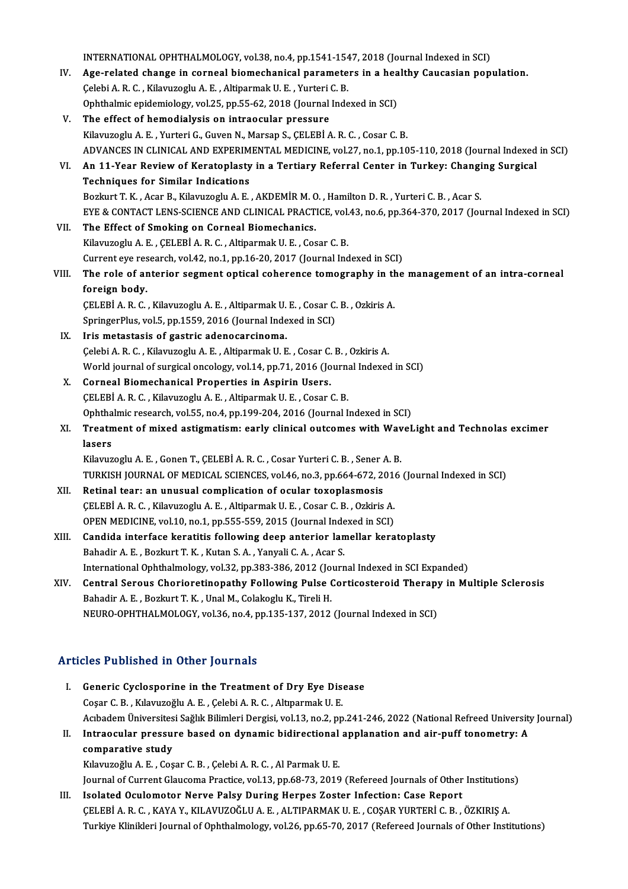INTERNATIONAL OPHTHALMOLOGY, vol.38, no.4, pp.1541-1547, 2018 (Journal Indexed in SCI)<br>Age related shange in serveal biomeshanisel naramaters in a healthy Causseian non INTERNATIONAL OPHTHALMOLOGY, vol.38, no.4, pp.1541-1547, 2018 (Journal Indexed in SCI)<br>IV. Age-related change in corneal biomechanical parameters in a healthy Caucasian population. INTERNATIONAL OPHTHALMOLOGY, vol.38, no.4, pp.1541-154<br>Age-related change in corneal biomechanical paramete<br>Çelebi A. R. C. , Kilavuzoglu A. E. , Altiparmak U. E. , Yurteri C. B.<br>Ophthelmis exidemielegy vol.35, np.55, 62, Age-related change in corneal biomechanical parameters in a hea<br>Çelebi A. R. C. , Kilavuzoglu A. E. , Altiparmak U. E. , Yurteri C. B.<br>Ophthalmic epidemiology, vol.25, pp.55-62, 2018 (Journal Indexed in SCI)<br>The effect of Celebi A. R. C. , Kilavuzoglu A. E. , Altiparmak U. E. , Yurteri C. B.<br>Ophthalmic epidemiology, vol.25, pp.55-62, 2018 (Journal Indexed in SCI)<br>V. The effect of hemodialysis on intraocular pressure KilavuzogluA.E. ,YurteriG.,GuvenN.,Marsap S.,ÇELEBİA.R.C. ,Cosar C.B. The effect of hemodialysis on intraocular pressure<br>Kilavuzoglu A. E. , Yurteri G., Guven N., Marsap S., ÇELEBİ A. R. C. , Cosar C. B.<br>ADVANCES IN CLINICAL AND EXPERIMENTAL MEDICINE, vol.27, no.1, pp.105-110, 2018 (Journal VI. An 11-Year Reviewof Keratoplasty in a Tertiary Referral Center in Turkey: Changing Surgical ADVANCES IN CLINICAL AND EXPERIM<br>An 11-Year Review of Keratoplasty<br>Techniques for Similar Indications<br>Borlaut T. K., Acar B., Kilauwecky A. E. Bozkurt T. K., Acar B., Kilavuzoglu A. E., AKDEMİR M. O., Hamilton D. R., Yurteri C. B., Acar S. Techniques for Similar Indications<br>Bozkurt T. K. , Acar B., Kilavuzoglu A. E. , AKDEMİR M. O. , Hamilton D. R. , Yurteri C. B. , Acar S.<br>EYE & CONTACT LENS-SCIENCE AND CLINICAL PRACTICE, vol.43, no.6, pp.364-370, 2017 (Jou VII. The Effect of Smoking on Corneal Biomechanics.<br>Kilavuzoglu A. E., CELEBI A. R. C., Altiparmak U. E., Cosar C. B. EYE & CONTACT LENS-SCIENCE AND CLINICAL PRACTICE, vol.<br>The Effect of Smoking on Corneal Biomechanics.<br>Kilavuzoglu A.E., ÇELEBİ A.R.C., Altiparmak U.E., Cosar C.B.<br>Current eve researsh vol.42, no.1, nn.16.20, 2017 (Journal The Effect of Smoking on Corneal Biomechanics.<br>Kilavuzoglu A. E. , ÇELEBİ A. R. C. , Altiparmak U. E. , Cosar C. B.<br>Current eye research, vol.42, no.1, pp.16-20, 2017 (Journal Indexed in SCI)<br>The role of anteniar segment e Kilavuzoglu A. E. , ÇELEBİ A. R. C. , Altiparmak U. E. , Cosar C. B.<br>Current eye research, vol.42, no.1, pp.16-20, 2017 (Journal Indexed in SCI)<br>VIII. The role of anterior segment optical coherence tomography in the ma Current eye res<br>The role of ar<br>foreign body.<br>CELEPIA B.C. The role of anterior segment optical coherence tomography in the<br>foreign body.<br>CELEBİ A. R. C. , Kilavuzoglu A. E. , Altiparmak U. E. , Cosar C. B. , Ozkiris A. foreign body.<br>ÇELEBİ A. R. C. , Kilavuzoglu A. E. , Altiparmak U. E. , Cosar C.<br>SpringerPlus, vol.5, pp.1559, 2016 (Journal Indexed in SCI)<br>Iris, metastasis of sestris adenosensinems CELEBİ A. R. C., Kilavuzoglu A. E., Altiparmak U.<br>SpringerPlus, vol.5, pp.1559, 2016 (Journal Inde<br>IX. Iris metastasis of gastric adenocarcinoma. SpringerPlus, vol.5, pp.1559, 2016 (Journal Indexed in SCI)<br>Iris metastasis of gastric adenocarcinoma.<br>Çelebi A. R. C. , Kilavuzoglu A. E. , Altiparmak U. E. , Cosar C. B. , Ozkiris A.<br>World journal of currical angelery, v IX. Iris metastasis of gastric adenocarcinoma.<br>
Gelebi A. R. C. , Kilavuzoglu A. E. , Altiparmak U. E. , Cosar C. B. , Ozkiris A.<br>
World journal of surgical oncology, vol.14, pp.71, 2016 (Journal Indexed in SCI)<br>
X. Cornea Celebi A. R. C., Kilavuzoglu A. E., Altiparmak U. E., Cosar C.<br>World journal of surgical oncology, vol.14, pp.71, 2016 (Jo<br>X. Corneal Biomechanical Properties in Aspirin Users.<br>CELEPIA B. C. Kilavuzoglu A. E. Altiparmak U. ÇELEBİ A.R.C., Kilavuzoglu A.E., Altiparmak U.E., Cosar C.B. Corneal Biomechanical Properties in Aspirin Users.<br>CELEBİ A. R. C. , Kilavuzoglu A. E. , Altiparmak U. E. , Cosar C. B.<br>Ophthalmic research, vol.55, no.4, pp.199-204, 2016 (Journal Indexed in SCI)<br>Treatment of mixed astism CELEBİ A. R. C. , Kilavuzoglu A. E. , Altiparmak U. E. , Cosar C. B.<br>Ophthalmic research, vol.55, no.4, pp.199-204, 2016 (Journal Indexed in SCI)<br>XI. Treatment of mixed astigmatism: early clinical outcomes with WaveLig Ophtha<br><mark>Treatn</mark><br>lasers<br><sup>Kilomuz</sup> Treatment of mixed astigmatism: early clinical outcomes with Wav<br>lasers<br>Kilavuzoglu A.E. , Gonen T., ÇELEBİ A.R.C. , Cosar Yurteri C.B. , Sener A.B.<br>TURKISH JOURNAL OF MEDICAL SCIENCES vol.46 no.3 nn 664 673 2016 lasers<br>Kilavuzoglu A. E. , Gonen T., ÇELEBİ A. R. C. , Cosar Yurteri C. B. , Sener A. B.<br>TURKISH JOURNAL OF MEDICAL SCIENCES, vol.46, no.3, pp.664-672, 2016 (Journal Indexed in SCI) Kilavuzoglu A. E., Gonen T., ÇELEBİ A. R. C., Cosar Yurteri C. B., Sener A<br>TURKISH JOURNAL OF MEDICAL SCIENCES, vol.46, no.3, pp.664-672, 20<br>XII. Retinal tear: an unusual complication of ocular toxoplasmosis<br>CELEBİ A. B. C TURKISH JOURNAL OF MEDICAL SCIENCES, vol.46, no.3, pp.664-672, 201<br>Retinal tear: an unusual complication of ocular toxoplasmosis<br>ÇELEBİ A. R. C. , Kilavuzoglu A. E. , Altiparmak U. E. , Cosar C. B. , Ozkiris A.<br>OPEN MEDICI Retinal tear: an unusual complication of ocular toxoplasmosis<br>CELEBİ A. R. C. , Kilavuzoglu A. E. , Altiparmak U. E. , Cosar C. B. , Ozkiris A.<br>OPEN MEDICINE, vol.10, no.1, pp.555-559, 2015 (Journal Indexed in SCI)<br>Condide CELEBİ A. R. C. , Kilavuzoglu A. E. , Altiparmak U. E. , Cosar C. B. , Ozkiris A.<br>OPEN MEDICINE, vol.10, no.1, pp.555-559, 2015 (Journal Indexed in SCI)<br>XIII. Candida interface keratitis following deep anterior lamella BahadirA.E. ,BozkurtT.K. ,KutanS.A. ,YanyaliC.A. ,Acar S. International Ophthalmology, vol.32, pp.383-386, 2012 (Journal Indexed in SCI Expanded) Bahadir A. E. , Bozkurt T. K. , Kutan S. A. , Yanyali C. A. , Acar S.<br>International Ophthalmology, vol.32, pp.383-386, 2012 (Journal Indexed in SCI Expanded)<br>XIV. Central Serous Chorioretinopathy Following Pulse Corticoste International Ophthalmology, vol.32, pp.383-386, 2012 (Jo<br>Central Serous Chorioretinopathy Following Pulse (<br>Bahadir A. E. , Bozkurt T. K. , Unal M., Colakoglu K., Tireli H.<br>NEUPO OPUTHALMOLOCY, vol.36, no.4, np.135, 137, Central Serous Chorioretinopathy Following Pulse Corticosteroid Therapy<br>Bahadir A. E. , Bozkurt T. K. , Unal M., Colakoglu K., Tireli H.<br>NEURO-OPHTHALMOLOGY, vol.36, no.4, pp.135-137, 2012 (Journal Indexed in SCI) NEURO-OPHTHALMOLOGY, vol.36, no.4, pp.135-137, 2012 (Journal Indexed in SCI)<br>Articles Published in Other Journals

I. Generic Cyclosporine in the Treatment of Dry Eye Disease Coşar C.B. ,KılavuzoğluA.E. ,ÇelebiA.R.C. ,AltıparmakU.E. Acıbadem Üniversitesi Sağlık Bilimleri Dergisi, vol.13, no.2, pp.241-246, 2022 (National Refreed University Journal) Coşar C. B. , Kılavuzoğlu A. E. , Çelebi A. R. C. , Altıparmak U. E.<br>Acıbadem Üniversitesi Sağlık Bilimleri Dergisi, vol.13, no.2, pp.241-246, 2022 (National Refreed University<br>II. Intraocular pressure based on dynamic bid Acıbadem Üniversites<br>Intraocular pressu:<br>comparative study<br>Kılamızeğlu A.E. Cos

Intraocular pressure based on dynamic bidirectional<br>comparative study<br>Kılavuzoğlu A.E., Coşar C.B., Çelebi A.R.C., Al Parmak U.E.<br>Journal of Current Clausema Pragtise vel 12.nn 69.72.2010 comparative study<br>Kılavuzoğlu A. E. , Coşar C. B. , Çelebi A. R. C. , Al Parmak U. E.<br>Journal of Current Glaucoma Practice, vol.13, pp.68-73, 2019 (Refereed Journals of Other Institutions)<br>Isalated Qaulamatar Narue Baley D

Kılavuzoğlu A. E. , Coşar C. B. , Çelebi A. R. C. , Al Parmak U. E.<br>Journal of Current Glaucoma Practice, vol.13, pp.68-73, 2019 (Refereed Journals of Other Institution<br>III. Isolated Oculomotor Nerve Palsy During Herpes Zo Journal of Current Glaucoma Practice, vol.13, pp.68-73, 2019 (Refereed Journals of Other Institution<br>Isolated Oculomotor Nerve Palsy During Herpes Zoster Infection: Case Report<br>ÇELEBİ A. R. C. , KAYA Y., KILAVUZOĞLU A. E. Turkiye Klinikleri Journal of Ophthalmology, vol.26, pp.65-70, 2017 (Refereed Journals of Other Institutions)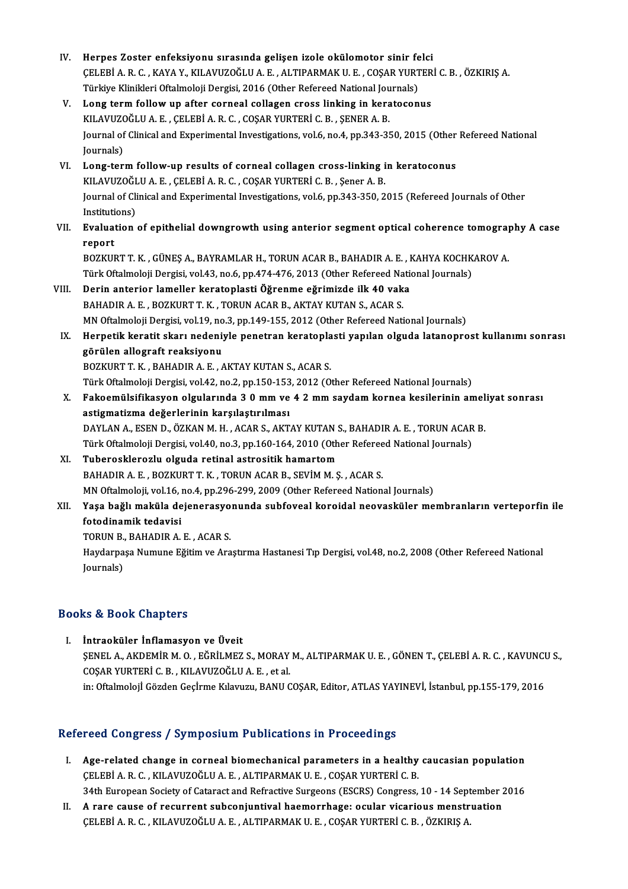| IV.   | Herpes Zoster enfeksiyonu sırasında gelişen izole okülomotor sinir felci                                    |
|-------|-------------------------------------------------------------------------------------------------------------|
|       | ÇELEBİ A. R. C., KAYA Y., KILAVUZOĞLU A. E., ALTIPARMAK U. E., COŞAR YURTERİ C. B., ÖZKIRIŞ A.              |
|       | Türkiye Klinikleri Oftalmoloji Dergisi, 2016 (Other Refereed National Journals)                             |
| V.    | Long term follow up after corneal collagen cross linking in keratoconus                                     |
|       | KILAVUZOĞLU A. E., ÇELEBİ A. R. C., COŞAR YURTERİ C. B., ŞENER A. B.                                        |
|       | Journal of Clinical and Experimental Investigations, vol.6, no.4, pp.343-350, 2015 (Other Refereed National |
|       | Journals)                                                                                                   |
| VI.   | Long-term follow-up results of corneal collagen cross-linking in keratoconus                                |
|       | KILAVUZOĞLU A. E., ÇELEBİ A. R. C., COŞAR YURTERİ C. B., Şener A. B.                                        |
|       | Journal of Clinical and Experimental Investigations, vol.6, pp.343-350, 2015 (Refereed Journals of Other    |
|       | Institutions)                                                                                               |
| VII.  | Evaluation of epithelial downgrowth using anterior segment optical coherence tomography A case              |
|       | report                                                                                                      |
|       | BOZKURT T. K., GÜNEŞ A., BAYRAMLAR H., TORUN ACAR B., BAHADIR A. E., KAHYA KOCHKAROV A.                     |
|       | Türk Oftalmoloji Dergisi, vol.43, no.6, pp.474-476, 2013 (Other Refereed National Journals)                 |
| VIII. | Derin anterior lameller keratoplasti Öğrenme eğrimizde ilk 40 vaka                                          |
|       | BAHADIR A. E., BOZKURT T. K., TORUN ACAR B., AKTAY KUTAN S., ACAR S.                                        |
|       | MN Oftalmoloji Dergisi, vol.19, no.3, pp.149-155, 2012 (Other Refereed National Journals)                   |
| IX.   | Herpetik keratit skarı nedeniyle penetran keratoplasti yapılan olguda latanoprost kullanımı sonrası         |
|       | görülen allograft reaksiyonu                                                                                |
|       | BOZKURT T. K., BAHADIR A. E., AKTAY KUTAN S., ACAR S.                                                       |
|       | Türk Oftalmoloji Dergisi, vol.42, no.2, pp.150-153, 2012 (Other Refereed National Journals)                 |
| Х.    | Fakoemülsifikasyon olgularında 30 mm ve 42 mm saydam kornea kesilerinin ameliyat sonrası                    |
|       | astigmatizma değerlerinin karşılaştırılması                                                                 |
|       | DAYLAN A., ESEN D., ÖZKAN M. H., ACAR S., AKTAY KUTAN S., BAHADIR A. E., TORUN ACAR B.                      |
|       | Türk Oftalmoloji Dergisi, vol.40, no.3, pp.160-164, 2010 (Other Refereed National Journals)                 |
| XI.   | Tuberosklerozlu olguda retinal astrositik hamartom                                                          |
|       | BAHADIR A. E., BOZKURT T. K., TORUN ACAR B., SEVIM M. S., ACAR S.                                           |
|       | MN Oftalmoloji, vol.16, no.4, pp.296-299, 2009 (Other Refereed National Journals)                           |
| XII.  | Yaşa bağlı maküla dejenerasyonunda subfoveal koroidal neovasküler membranların verteporfin ile              |
|       | fotodinamik tedavisi                                                                                        |
|       | TORUN B., BAHADIR A. E., ACAR S.                                                                            |
|       | Haydarpaşa Numune Eğitim ve Araştırma Hastanesi Tıp Dergisi, vol.48, no.2, 2008 (Other Refereed National    |
|       | Journals)                                                                                                   |
|       |                                                                                                             |
|       |                                                                                                             |

## Books&Book Chapters

I. İntraoküler İnflamasyon ve Üveit IS & BOON GRapesis<br>İntraoküler İnflamasyon ve Üveit<br>ŞENEL A., AKDEMİR M. O. , EĞRİLMEZ S., MORAY M., ALTIPARMAK U. E. , GÖNEN T., ÇELEBİ A. R. C. , KAVUNCU S.,<br>COSAR YURTERİ G. R. KU AVUZOĞLU A. E. et al İntraoküler İnflamasyon ve Üveit<br>ŞENEL A., AKDEMİR M. O. , EĞRİLMEZ S., MORAY<br>COŞAR YURTERİ C. B. , KILAVUZOĞLU A. E. , et al.<br>in: Oftalmaleji Cörden Cealrme Kılayıyın, BANU C ŞENEL A., AKDEMİR M. O. , EĞRİLMEZ S., MORAY M., ALTIPARMAK U. E. , GÖNEN T., ÇELEBİ A. R. C. , KAVUNCI<br>COŞAR YURTERİ C. B. , KILAVUZOĞLU A. E. , et al.<br>in: Oftalmolojİ Gözden Geçİrme Kılavuzu, BANU COŞAR, Editor, ATLAS YA in: Oftalmoloji Gözden Geçirme Kılavuzu, BANU COŞAR, Editor, ATLAS YAYINEVİ, İstanbul, pp.155-179, 2016<br>Refereed Congress / Symposium Publications in Proceedings

- efereed Congress / Symposium Publications in Proceedings<br>I. Age-related change in corneal biomechanical parameters in a healthy caucasian population<br>CELEPÍA B.C. KU AVUZOČUJA E. ALTIBARMAKJU E. COSAR VURTERÍC B Ree-related change in corneal biomechanical parameters in a healthy<br>CELEBİ A. R. C. , KILAVUZOĞLU A. E. , ALTIPARMAK U. E. , COŞAR YURTERİ C. B.<br>24th European Society of Cetarest and Befreetiye Surgeons (ESCBS) Congress. Age-related change in corneal biomechanical parameters in a healthy caucasian population<br>CELEBİ A. R. C. , KILAVUZOĞLU A. E. , ALTIPARMAK U. E. , COŞAR YURTERİ C. B.<br>34th European Society of Cataract and Refractive Surgeon CELEBI A. R. C., KILAVUZOĞLU A. E., ALTIPARMAK U. E., COŞAR YURTERI C. B.<br>34th European Society of Cataract and Refractive Surgeons (ESCRS) Congress, 10 - 14 September 2<br>II. A rare cause of recurrent subconjuntival haemorr
- 34th European Society of Cataract and Refractive Surgeons (ESCRS) Congress, 10 14 Sept<br>A rare cause of recurrent subconjuntival haemorrhage: ocular vicarious menstr<br>ÇELEBİ A. R. C. , KILAVUZOĞLU A. E. , ALTIPARMAK U. E.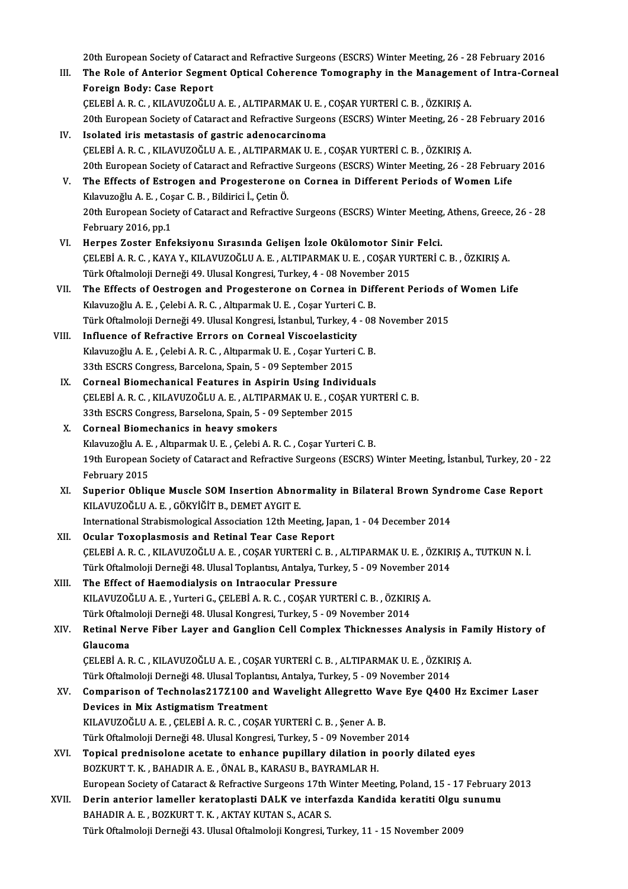20th European Society of Cataract and Refractive Surgeons (ESCRS) Winter Meeting, 26 - 28 February 2016<br>The Bole of Antonian Segment Onticel Cohenence Temegraphy in the Management of Intre Cenne

20th European Society of Cataract and Refractive Surgeons (ESCRS) Winter Meeting, 26 - 28 February 2016<br>III. The Role of Anterior Segment Optical Coherence Tomography in the Management of Intra-Corneal 20th European Society of Catar<br>The Role of Anterior Segme<br>Foreign Body: Case Report<br>CELERIA B.C., KILAVIZOČLU The Role of Anterior Segment Optical Coherence Tomography in the Management of Intra-Corneal<br>Foreign Body: Case Report<br>CELEBİ A. R. C. , KILAVUZOĞLU A. E. , ALTIPARMAK U. E. , COŞAR YURTERİ C. B. , ÖZKIRIŞ A.

```
20th European Society of Cataract and Refractive Surgeons (ESCRS) Winter Meeting, 26 - 28 February 2016
```
- IV. Isolated irismetastasis of gastric adenocarcinoma ÇELEBİA.R.C. ,KILAVUZOĞLUA.E. ,ALTIPARMAKU.E. ,COŞARYURTERİC.B. ,ÖZKIRIŞA. 20th European Society of Cataract and Refractive Surgeons (ESCRS) Winter Meeting, 26 - 28 February 2016 CELEBI A. R. C. , KILAVUZOĞLU A. E. , ALTIPARMAK U. E. , COŞAR YURTERI C. B. , ÖZKIRIŞ A.<br>20th European Society of Cataract and Refractive Surgeons (ESCRS) Winter Meeting, 26 - 28 Februar<br>1. The Effects of Estrogen and Pro
- 20th European Society of Cataract and Refractive<br>The Effects of Estrogen and Progesterone<br>Kılavuzoğlu A.E., Coşar C.B., Bildirici İ., Çetin Ö.<br>20th European Society of Cataract and Befractive The Effects of Estrogen and Progesterone on Cornea in Different Periods of Women Life<br>Kılavuzoğlu A. E. , Coşar C. B. , Bildirici İ., Çetin Ö.<br>20th European Society of Cataract and Refractive Surgeons (ESCRS) Winter Meetin Kılavuzoğlu A. E. , Coşar C. B. , Bildirici İ., Çetin Ö.<br>20th European Society of Cataract and Refractive Surgeons (ESCRS) Winter Meeting, Athens, Greece, 26 - 28<br>February 2016, pp.1
- VI. Herpes Zoster Enfeksiyonu Sırasında Gelişen İzole Okülomotor Sinir Felci. February 2016, pp.1<br>Herpes Zoster Enfeksiyonu Sırasında Gelişen İzole Okülomotor Sinir Felci.<br>ÇELEBİ A. R. C. , KAYA Y., KILAVUZOĞLU A. E. , ALTIPARMAK U. E. , COŞAR YURTERİ C. B. , ÖZKIRIŞ A.<br>Türk Oftalmoloji Denneği 49 U Herpes Zoster Enfeksiyonu Sırasında Gelişen İzole Okülomotor Sinir<br>ÇELEBİ A. R. C. , KAYA Y., KILAVUZOĞLU A. E. , ALTIPARMAK U. E. , COŞAR YUI<br>Türk Oftalmoloji Derneği 49. Ulusal Kongresi, Turkey, 4 - 08 November 2015<br>The CELEBİ A. R. C. , KAYA Y., KILAVUZOĞLU A. E. , ALTIPARMAK U. E. , COŞAR YURTERİ C. B. , ÖZKIRIŞ A.<br>Türk Oftalmoloji Derneği 49. Ulusal Kongresi, Turkey, 4 - 08 November 2015<br>VII. The Effects of Oestrogen and Progesterone o
- Türk Oftalmoloji Derneği 49. Ulusal Kongresi, Turkey, 4 08 November 2015<br>The Effects of Oestrogen and Progesterone on Cornea in Different Periods of<br>Kılavuzoğlu A.E. , Çelebi A.R.C. , Altıparmak U.E. , Coşar Yurteri C. B The Effects of Oestrogen and Progesterone on Cornea in Different Periods of Women Life<br>Kılavuzoğlu A. E. , Çelebi A. R. C. , Altıparmak U. E. , Coşar Yurteri C. B.<br>Türk Oftalmoloji Derneği 49. Ulusal Kongresi, İstanbul, Tu Kılavuzoğlu A. E. , Çelebi A. R. C. , Altıparmak U. E. , Coşar Yurteri C. B.<br>Türk Oftalmoloji Derneği 49. Ulusal Kongresi, İstanbul, Turkey, 4 - 08<br>VIII. 1 Influence of Refractive Errors on Corneal Viscoelasticity
- Türk Oftalmoloji Derneği 49. Ulusal Kongresi, İstanbul, Turkey, 4 08<br>Influence of Refractive Errors on Corneal Viscoelasticity<br>Kılavuzoğlu A. E. , Çelebi A. R. C. , Altıparmak U. E. , Coşar Yurteri C. B.<br>22th ESCPS Congr Influence of Refractive Errors on Corneal Viscoelasticity<br>Kılavuzoğlu A. E. , Çelebi A. R. C. , Altıparmak U. E. , Coşar Yurteri<br>33th ESCRS Congress, Barcelona, Spain, 5 - 09 September 2015<br>Corneal Biomechanisal Features i Kılavuzoğlu A. E., Çelebi A. R. C., Altıparmak U. E., Coşar Yurteri C. B.<br>33th ESCRS Congress, Barcelona, Spain, 5 - 09 September 2015<br>IX. Corneal Biomechanical Features in Aspirin Using Individuals<br>CELEBÍ A B C. KILAVIIZO
- 33th ESCRS Congress, Barcelona, Spain, 5 09 September 2015<br>Corneal Biomechanical Features in Aspirin Using Individuals<br>CELEBİ A. R. C. , KILAVUZOĞLU A. E. , ALTIPARMAK U. E. , COŞAR YURTERİ C. B.<br>22th ESCPS Congress, Bar Corneal Biomechanical Features in Aspirin Using Individ<br>CELEBİ A. R. C. , KILAVUZOĞLU A. E. , ALTIPARMAK U. E. , COŞAR<br>33th ESCRS Congress, Barselona, Spain, 5 - 09 September 2015<br>Corneal Biomechaniss in boayy smakars CELEBİ A. R. C., KILAVUZOĞLU A. E., ALTIPAR<br>33th ESCRS Congress, Barselona, Spain, 5 - 09<br>X. Corneal Biomechanics in heavy smokers
- 33th ESCRS Congress, Barselona, Spain, 5 09 September 2015<br>Corneal Biomechanics in heavy smokers<br>Kılavuzoğlu A.E. , Altıparmak U.E. , Çelebi A.R.C. , Coşar Yurteri C. B.<br>19th European Society of Cotarest and Befrestive S 19th European Society of Gataract and Refractive Surgeons (ESCRS) Winter Meeting, İstanbul, Turkey, 20 - 22<br>19th European Society of Cataract and Refractive Surgeons (ESCRS) Winter Meeting, İstanbul, Turkey, 20 - 22<br>19th E Kılavuzoğlu A. E<br>19th European :<br>February 2015<br>Sunorion Oblic 19th European Society of Cataract and Refractive Surgeons (ESCRS) Winter Meeting, İstanbul, Turkey, 20 - 2<br>February 2015<br>XI. Superior Oblique Muscle SOM Insertion Abnormality in Bilateral Brown Syndrome Case Report<br>XI. Sup
- February 2015<br>Superior Oblique Muscle SOM Insertion Abno<br>KILAVUZOĞLU A. E. , GÖKYİĞİT B., DEMET AYGIT E.<br>International Strabismalegical Association 12th Me Superior Oblique Muscle SOM Insertion Abnormality in Bilateral Brown Synd<br>KILAVUZOĞLU A. E. , GÖKYİĞİT B., DEMET AYGIT E.<br>International Strabismological Association 12th Meeting, Japan, 1 - 04 December 2014<br>Qaylar Tavanlas KILAVUZOĞLU A. E. , GÖKYİĞİT B., DEMET AYGIT E.<br>International Strabismological Association 12th Meeting, Japan, 1 - 04 December 2014<br>XII. Ocular Toxoplasmosis and Retinal Tear Case Report
- International Strabismological Association 12th Meeting, Japan, 1 04 December 2014<br>Ocular Toxoplasmosis and Retinal Tear Case Report<br>ÇELEBİ A. R. C. , KILAVUZOĞLU A. E. , COŞAR YURTERİ C. B. , ALTIPARMAK U. E. , ÖZKIRIŞ Ocular Toxoplasmosis and Retinal Tear Case Report<br>ÇELEBİ A. R. C. , KILAVUZOĞLU A. E. , COŞAR YURTERİ C. B. , ALTIPARMAK U. E. , ÖZKIR<br>Türk Oftalmoloji Derneği 48. Ulusal Toplantısı, Antalya, Turkey, 5 - 09 November 2014<br>T
- XIII. The Effect of Haemodialysis on Intraocular Pressure Türk Oftalmoloji Derneği 48. Ulusal Toplantısı, Antalya, Turkey, 5 - 09 November 2014<br>The Effect of Haemodialysis on Intraocular Pressure<br>KILAVUZOĞLU A.E. , Yurteri G., ÇELEBİ A.R.C. , COŞAR YURTERİ C.B. , ÖZKIRIŞ A.<br>Türk KILAVUZOĞLU A. E., Yurteri G., ÇELEBİ A. R. C., COŞAR YURTERİ C. B., ÖZKIRIŞ A. KILAVUZOĞLU A. E. , Yurteri G., ÇELEBİ A. R. C. , COŞAR YURTERİ C. B. , ÖZKIRIŞ A.<br>Türk Oftalmoloji Derneği 48. Ulusal Kongresi, Turkey, 5 - 09 November 2014<br>XIV. Retinal Nerve Fiber Layer and Ganglion Cell Complex Thi
- Türk Oftalm<br><mark>Retinal Ne</mark><br>Glaucoma<br>CELEPI A B Retinal Nerve Fiber Layer and Ganglion Cell Complex Thicknesses Analysis in Fa<br>Glaucoma<br>ÇELEBİ A. R. C. , KILAVUZOĞLU A. E. , COŞAR YURTERİ C. B. , ALTIPARMAK U. E. , ÖZKIRIŞ A.<br>Türk Oftalmalaji Derneği 48 Ulucal Toplantıs Glaucoma<br>ÇELEBİ A. R. C. , KILAVUZOĞLU A. E. , COŞAR YURTERİ C. B. , ALTIPARMAK U. E. , ÖZKIR<br>Türk Oftalmoloji Derneği 48. Ulusal Toplantısı, Antalya, Turkey, 5 - 09 November 2014<br>Comparison of Teshnolos2177100 and Wayelis

- CELEBİ A. R. C. , KILAVUZOĞLU A. E. , COŞAR YURTERİ C. B. , ALTIPARMAK U. E. , ÖZKIRIŞ A.<br>Türk Oftalmoloji Derneği 48. Ulusal Toplantısı, Antalya, Turkey, 5 09 November 2014<br>XV. Comparison of Technolas217Z100 and Wavelig Türk Oftalmoloji Derneği 48. Ulusal Toplantı<br>Comparison of Technolas2172100 and<br>Devices in Mix Astigmatism Treatment<br>FULAVUZOČUJA EL CELERIA BLG COSAR Comparison of Technolas217Z100 and Wavelight Allegretto W:<br>Devices in Mix Astigmatism Treatment<br>KILAVUZOĞLU A.E. , ÇELEBİ A.R.C. , COŞAR YURTERİ C.B. , Şener A.B.<br>Türk Oftalmalaji Denneği 48 Ulusal Kongresi Turkey, E. , 00 Devices in Mix Astigmatism Treatment<br>KILAVUZOĞLU A. E. , ÇELEBİ A. R. C. , COŞAR YURTERİ C. B. , Şener A. B.<br>Türk Oftalmoloji Derneği 48. Ulusal Kongresi, Turkey, 5 - 09 November 2014<br>Tenisal prodnisalare asatata te erbans
- KILAVUZOĞLU A. E. , ÇELEBİ A. R. C. , COŞAR YURTERİ C. B. , Şener A. B.<br>Türk Oftalmoloji Derneği 48. Ulusal Kongresi, Turkey, 5 09 November 2014<br>XVI. Topical prednisolone acetate to enhance pupillary dilation in poor Türk Oftalmoloji Derneği 48. Ulusal Kongresi, Turkey, 5 - 09 Novembe<br>Topical prednisolone acetate to enhance pupillary dilation in<br>BOZKURT T. K. , BAHADIR A. E. , ÖNAL B., KARASU B., BAYRAMLAR H.<br>European Society of Catare Topical prednisolone acetate to enhance pupillary dilation in poorly dilated eyes<br>BOZKURT T. K. , BAHADIR A. E. , ÖNAL B., KARASU B., BAYRAMLAR H.<br>European Society of Cataract & Refractive Surgeons 17th Winter Meeting, Pol BOZKURT T. K., BAHADIR A. E., ÖNAL B., KARASU B., BAYRAMLAR H.<br>European Society of Cataract & Refractive Surgeons 17th Winter Meeting, Poland, 15 - 17 February<br>XVII. Derin anterior lameller keratoplasti DALK ve interfazda
- European Society of Cataract & Refractive Surgeons 17th **V**<br>Derin anterior lameller keratoplasti DALK ve interf<br>BAHADIR A. E. , BOZKURT T. K. , AKTAY KUTAN S., ACAR S.<br>Türk Oftalmeleji Denneži 43. Ulugal Oftalmeleji Kongre Derin anterior lameller keratoplasti DALK ve interfazda Kandida keratiti Olgu sunumu<br>BAHADIR A. E. , BOZKURT T. K. , AKTAY KUTAN S., ACAR S.<br>Türk Oftalmoloji Derneği 43. Ulusal Oftalmoloji Kongresi, Turkey, 11 - 15 Novembe